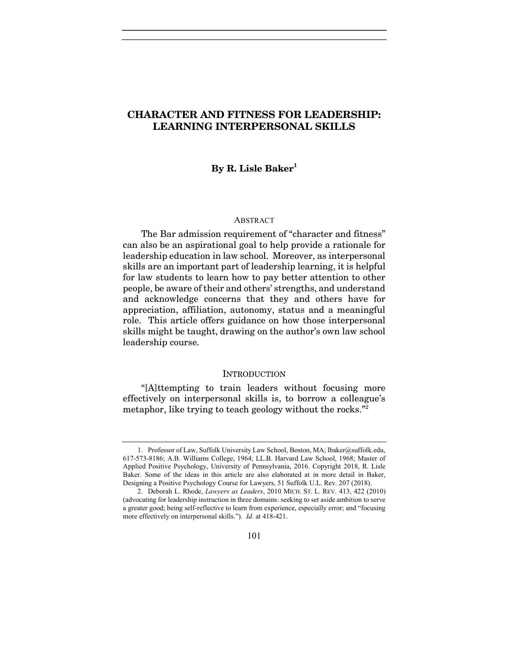# CHARACTER AND FITNESS FOR LEADERSHIP: LEARNING INTERPERSONAL SKILLS

# By R. Lisle Baker<sup>1</sup>

### ABSTRACT

The Bar admission requirement of "character and fitness" can also be an aspirational goal to help provide a rationale for leadership education in law school. Moreover, as interpersonal skills are an important part of leadership learning, it is helpful for law students to learn how to pay better attention to other people, be aware of their and others' strengths, and understand and acknowledge concerns that they and others have for appreciation, affiliation, autonomy, status and a meaningful role. This article offers guidance on how those interpersonal skills might be taught, drawing on the author's own law school leadership course.

#### INTRODUCTION

"[A]ttempting to train leaders without focusing more effectively on interpersonal skills is, to borrow a colleague's metaphor, like trying to teach geology without the rocks."<sup>2</sup>

<sup>1.</sup> Professor of Law, Suffolk University Law School, Boston, MA; lbaker@suffolk.edu, 617-573-8186; A.B. Williams College, 1964; LL.B. Harvard Law School, 1968; Master of Applied Positive Psychology, University of Pennsylvania, 2016. Copyright 2018, R. Lisle Baker. Some of the ideas in this article are also elaborated at in more detail in Baker, Designing a Positive Psychology Course for Lawyers, 51 Suffolk U.L. Rev. 207 (2018).

 <sup>2.</sup> Deborah L. Rhode, Lawyers as Leaders, 2010 MICH. ST. L. REV. 413, 422 (2010) (advocating for leadership instruction in three domains: seeking to set aside ambition to serve a greater good; being self-reflective to learn from experience, especially error; and "focusing more effectively on interpersonal skills."). Id. at 418-421.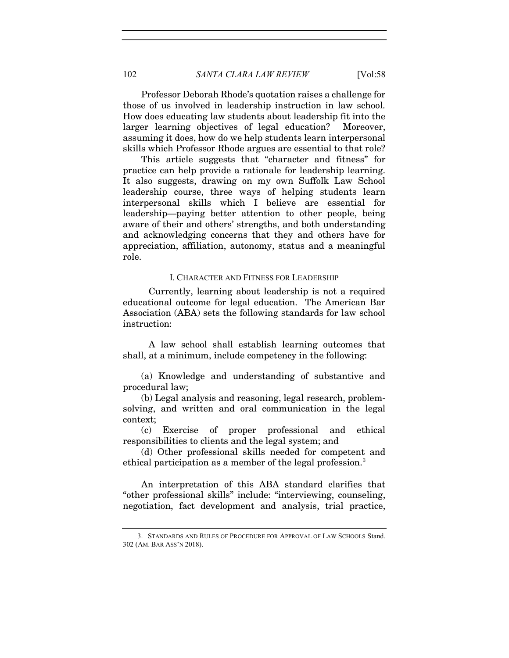Professor Deborah Rhode's quotation raises a challenge for those of us involved in leadership instruction in law school. How does educating law students about leadership fit into the larger learning objectives of legal education? Moreover, assuming it does, how do we help students learn interpersonal skills which Professor Rhode argues are essential to that role?

This article suggests that "character and fitness" for practice can help provide a rationale for leadership learning. It also suggests, drawing on my own Suffolk Law School leadership course, three ways of helping students learn interpersonal skills which I believe are essential for leadership—paying better attention to other people, being aware of their and others' strengths, and both understanding and acknowledging concerns that they and others have for appreciation, affiliation, autonomy, status and a meaningful role.

### I. CHARACTER AND FITNESS FOR LEADERSHIP

Currently, learning about leadership is not a required educational outcome for legal education. The American Bar Association (ABA) sets the following standards for law school instruction:

 A law school shall establish learning outcomes that shall, at a minimum, include competency in the following:

(a) Knowledge and understanding of substantive and procedural law;

(b) Legal analysis and reasoning, legal research, problemsolving, and written and oral communication in the legal context;

(c) Exercise of proper professional and ethical responsibilities to clients and the legal system; and

(d) Other professional skills needed for competent and ethical participation as a member of the legal profession.<sup>3</sup>

An interpretation of this ABA standard clarifies that "other professional skills" include: "interviewing, counseling, negotiation, fact development and analysis, trial practice,

 <sup>3.</sup> STANDARDS AND RULES OF PROCEDURE FOR APPROVAL OF LAW SCHOOLS Stand. 302 (AM. BAR ASS'N 2018).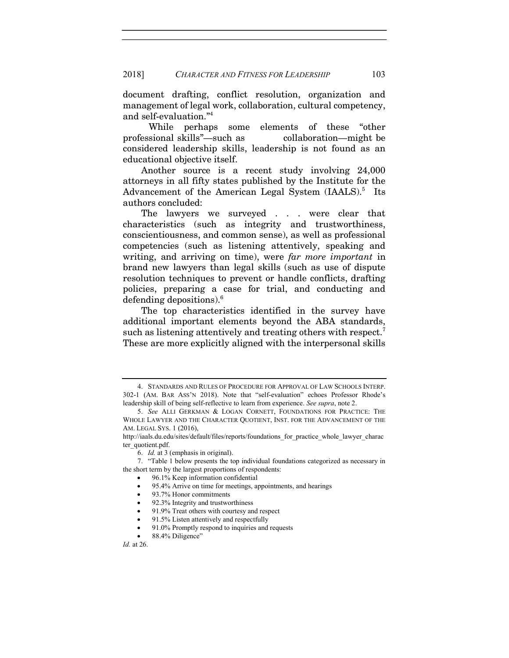document drafting, conflict resolution, organization and management of legal work, collaboration, cultural competency, and self-evaluation."<sup>4</sup>

 While perhaps some elements of these "other professional skills"—such as collaboration—might be considered leadership skills, leadership is not found as an educational objective itself.

Another source is a recent study involving 24,000 attorneys in all fifty states published by the Institute for the Advancement of the American Legal System (IAALS).<sup>5</sup> Its authors concluded:

The lawyers we surveyed . . . were clear that characteristics (such as integrity and trustworthiness, conscientiousness, and common sense), as well as professional competencies (such as listening attentively, speaking and writing, and arriving on time), were far more important in brand new lawyers than legal skills (such as use of dispute resolution techniques to prevent or handle conflicts, drafting policies, preparing a case for trial, and conducting and defending depositions).<sup>6</sup>

The top characteristics identified in the survey have additional important elements beyond the ABA standards, such as listening attentively and treating others with respect.<sup>7</sup> These are more explicitly aligned with the interpersonal skills

- 96.1% Keep information confidential
- 95.4% Arrive on time for meetings, appointments, and hearings
- 93.7% Honor commitments
- 92.3% Integrity and trustworthiness
- 91.9% Treat others with courtesy and respect
- 91.5% Listen attentively and respectfully
- 91.0% Promptly respond to inquiries and requests
- 88.4% Diligence"

 <sup>4.</sup> STANDARDS AND RULES OF PROCEDURE FOR APPROVAL OF LAW SCHOOLS INTERP. 302-1 (AM. BAR ASS'N 2018). Note that "self-evaluation" echoes Professor Rhode's leadership skill of being self-reflective to learn from experience. See supra, note 2.

 <sup>5.</sup> See ALLI GERKMAN & LOGAN CORNETT, FOUNDATIONS FOR PRACTICE: THE WHOLE LAWYER AND THE CHARACTER QUOTIENT, INST. FOR THE ADVANCEMENT OF THE AM. LEGAL SYS. 1 (2016),

http://iaals.du.edu/sites/default/files/reports/foundations\_for\_practice\_whole\_lawyer\_charac ter\_quotient.pdf.

 <sup>6.</sup> Id. at 3 (emphasis in original).

 <sup>7. &</sup>quot;Table 1 below presents the top individual foundations categorized as necessary in the short term by the largest proportions of respondents: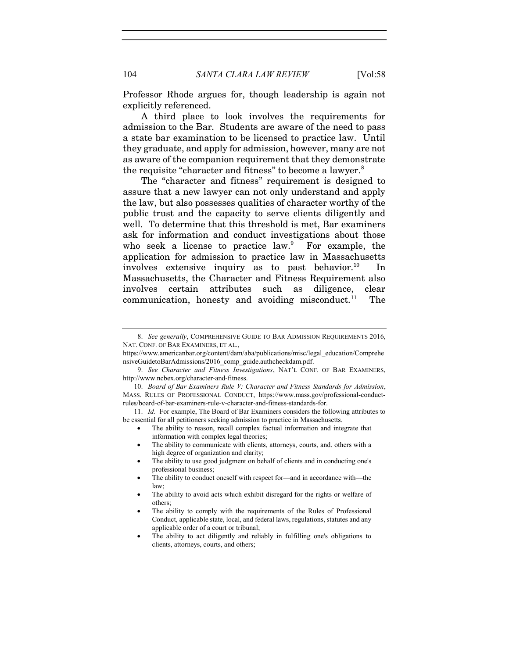Professor Rhode argues for, though leadership is again not explicitly referenced.

A third place to look involves the requirements for admission to the Bar. Students are aware of the need to pass a state bar examination to be licensed to practice law. Until they graduate, and apply for admission, however, many are not as aware of the companion requirement that they demonstrate the requisite "character and fitness" to become a lawyer.<sup>8</sup>

The "character and fitness" requirement is designed to assure that a new lawyer can not only understand and apply the law, but also possesses qualities of character worthy of the public trust and the capacity to serve clients diligently and well. To determine that this threshold is met, Bar examiners ask for information and conduct investigations about those who seek a license to practice law.<sup>9</sup> For example, the application for admission to practice law in Massachusetts involves extensive inquiry as to past behavior. $^{10}$  In Massachusetts, the Character and Fitness Requirement also involves certain attributes such as diligence, clear communication, honesty and avoiding misconduct. $11$  The

 11. Id. For example, The Board of Bar Examiners considers the following attributes to be essential for all petitioners seeking admission to practice in Massachusetts.

- The ability to reason, recall complex factual information and integrate that information with complex legal theories;
- The ability to communicate with clients, attorneys, courts, and. others with a high degree of organization and clarity;
- The ability to use good judgment on behalf of clients and in conducting one's professional business;

- The ability to avoid acts which exhibit disregard for the rights or welfare of others;
- The ability to comply with the requirements of the Rules of Professional Conduct, applicable state, local, and federal laws, regulations, statutes and any applicable order of a court or tribunal;
- The ability to act diligently and reliably in fulfilling one's obligations to clients, attorneys, courts, and others;

 <sup>8.</sup> See generally, COMPREHENSIVE GUIDE TO BAR ADMISSION REQUIREMENTS 2016, NAT. CONF. OF BAR EXAMINERS, ET AL.,

https://www.americanbar.org/content/dam/aba/publications/misc/legal\_education/Comprehe nsiveGuidetoBarAdmissions/2016\_comp\_guide.authcheckdam.pdf.

<sup>9.</sup> See Character and Fitness Investigations, NAT'L CONF. OF BAR EXAMINERS, http://www.ncbex.org/character-and-fitness.

 <sup>10.</sup> Board of Bar Examiners Rule V: Character and Fitness Standards for Admission, MASS. RULES OF PROFESSIONAL CONDUCT, https://www.mass.gov/professional-conductrules/board-of-bar-examiners-rule-v-character-and-fitness-standards-for.

The ability to conduct oneself with respect for—and in accordance with—the law;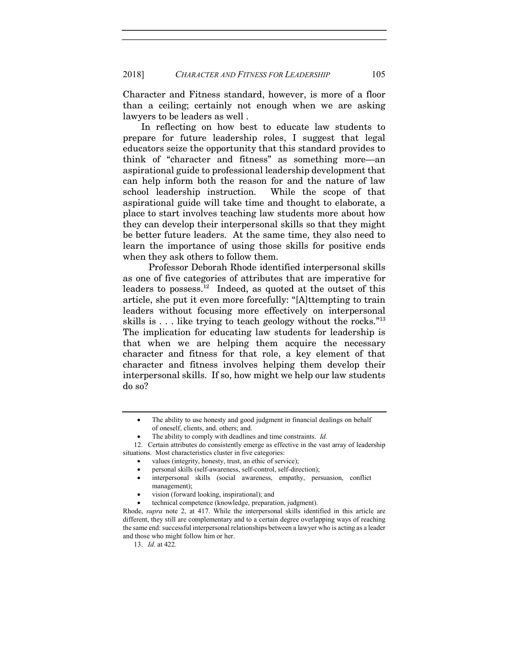Character and Fitness standard, however, is more of a floor than a ceiling; certainly not enough when we are asking lawyers to be leaders as well .

In reflecting on how best to educate law students to prepare for future leadership roles, I suggest that legal educators seize the opportunity that this standard provides to think of "character and fitness" as something more—an aspirational guide to professional leadership development that can help inform both the reason for and the nature of law school leadership instruction. While the scope of that aspirational guide will take time and thought to elaborate, a place to start involves teaching law students more about how they can develop their interpersonal skills so that they might be better future leaders. At the same time, they also need to learn the importance of using those skills for positive ends when they ask others to follow them.

 Professor Deborah Rhode identified interpersonal skills as one of five categories of attributes that are imperative for leaders to possess.<sup>12</sup> Indeed, as quoted at the outset of this article, she put it even more forcefully: "[A]ttempting to train leaders without focusing more effectively on interpersonal skills is  $\dots$  like trying to teach geology without the rocks.<sup> $n_{13}$ </sup> The implication for educating law students for leadership is that when we are helping them acquire the necessary character and fitness for that role, a key element of that character and fitness involves helping them develop their interpersonal skills. If so, how might we help our law students do so?

The ability to use honesty and good judgment in financial dealings on behalf of oneself, clients, and. others; and.

The ability to comply with deadlines and time constraints. Id.

 <sup>12.</sup> Certain attributes do consistently emerge as effective in the vast array of leadership situations. Most characteristics cluster in five categories:

values (integrity, honesty, trust, an ethic of service);

personal skills (self-awareness, self-control, self-direction);

interpersonal skills (social awareness, empathy, persuasion, conflict management);

vision (forward looking, inspirational); and

technical competence (knowledge, preparation, judgment).

Rhode, supra note 2, at 417. While the interpersonal skills identified in this article are different, they still are complementary and to a certain degree overlapping ways of reaching the same end: successful interpersonal relationships between a lawyer who is acting as a leader and those who might follow him or her.

 <sup>13.</sup> Id. at 422.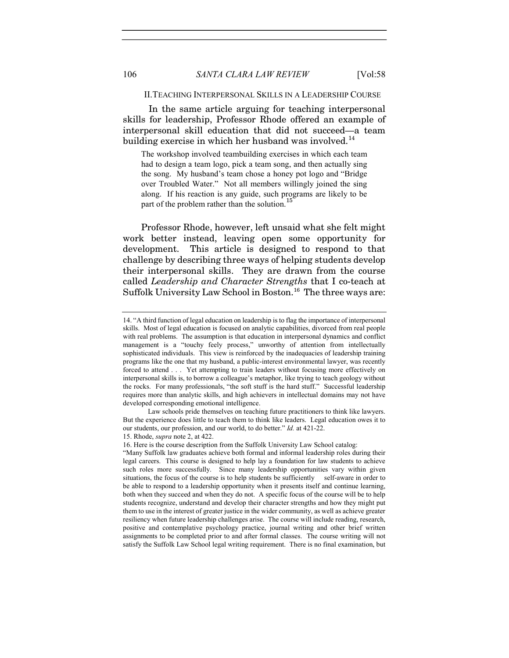#### II.TEACHING INTERPERSONAL SKILLS IN A LEADERSHIP COURSE

In the same article arguing for teaching interpersonal skills for leadership, Professor Rhode offered an example of interpersonal skill education that did not succeed—a team building exercise in which her husband was involved.<sup>14</sup>

The workshop involved teambuilding exercises in which each team had to design a team logo, pick a team song, and then actually sing the song. My husband's team chose a honey pot logo and "Bridge over Troubled Water." Not all members willingly joined the sing along. If his reaction is any guide, such programs are likely to be part of the problem rather than the solution.<sup>16</sup>

Professor Rhode, however, left unsaid what she felt might work better instead, leaving open some opportunity for development. This article is designed to respond to that challenge by describing three ways of helping students develop their interpersonal skills. They are drawn from the course called Leadership and Character Strengths that I co-teach at Suffolk University Law School in Boston.<sup>16</sup> The three ways are:

<sup>14. &</sup>quot;A third function of legal education on leadership is to flag the importance of interpersonal skills. Most of legal education is focused on analytic capabilities, divorced from real people with real problems. The assumption is that education in interpersonal dynamics and conflict management is a "touchy feely process," unworthy of attention from intellectually sophisticated individuals. This view is reinforced by the inadequacies of leadership training programs like the one that my husband, a public-interest environmental lawyer, was recently forced to attend . . . Yet attempting to train leaders without focusing more effectively on interpersonal skills is, to borrow a colleague's metaphor, like trying to teach geology without the rocks. For many professionals, "the soft stuff is the hard stuff." Successful leadership requires more than analytic skills, and high achievers in intellectual domains may not have developed corresponding emotional intelligence.

Law schools pride themselves on teaching future practitioners to think like lawyers. But the experience does little to teach them to think like leaders. Legal education owes it to our students, our profession, and our world, to do better." Id. at 421-22.

<sup>15.</sup> Rhode, supra note 2, at 422.

<sup>16.</sup> Here is the course description from the Suffolk University Law School catalog:

<sup>&</sup>quot;Many Suffolk law graduates achieve both formal and informal leadership roles during their legal careers. This course is designed to help lay a foundation for law students to achieve such roles more successfully. Since many leadership opportunities vary within given situations, the focus of the course is to help students be sufficiently self-aware in order to be able to respond to a leadership opportunity when it presents itself and continue learning, both when they succeed and when they do not. A specific focus of the course will be to help students recognize, understand and develop their character strengths and how they might put them to use in the interest of greater justice in the wider community, as well as achieve greater resiliency when future leadership challenges arise. The course will include reading, research, positive and contemplative psychology practice, journal writing and other brief written assignments to be completed prior to and after formal classes. The course writing will not satisfy the Suffolk Law School legal writing requirement. There is no final examination, but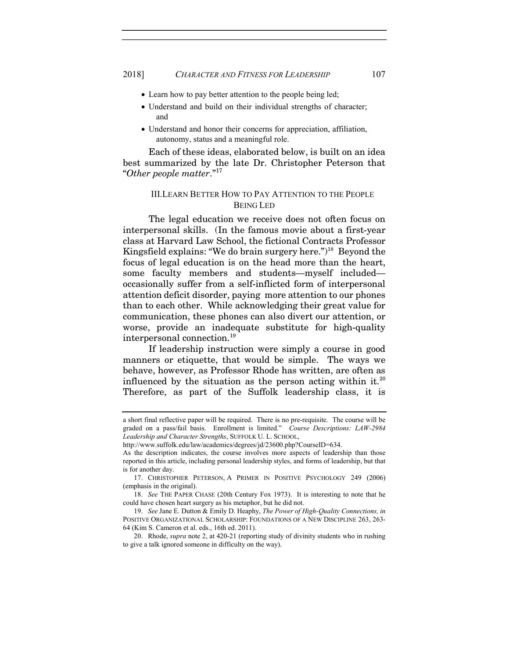- Learn how to pay better attention to the people being led;
- Understand and build on their individual strengths of character; and
- Understand and honor their concerns for appreciation, affiliation, autonomy, status and a meaningful role.

Each of these ideas, elaborated below, is built on an idea best summarized by the late Dr. Christopher Peterson that "Other people matter."<sup>17</sup>

## III.LEARN BETTER HOW TO PAY ATTENTION TO THE PEOPLE BEING LED

The legal education we receive does not often focus on interpersonal skills. (In the famous movie about a first-year class at Harvard Law School, the fictional Contracts Professor Kingsfield explains: "We do brain surgery here.")<sup>18</sup> Beyond the focus of legal education is on the head more than the heart, some faculty members and students—myself included occasionally suffer from a self-inflicted form of interpersonal attention deficit disorder, paying more attention to our phones than to each other. While acknowledging their great value for communication, these phones can also divert our attention, or worse, provide an inadequate substitute for high-quality interpersonal connection.<sup>19</sup>

 If leadership instruction were simply a course in good manners or etiquette, that would be simple. The ways we behave, however, as Professor Rhode has written, are often as influenced by the situation as the person acting within it.<sup>20</sup> Therefore, as part of the Suffolk leadership class, it is

a short final reflective paper will be required. There is no pre-requisite. The course will be graded on a pass/fail basis. Enrollment is limited." Course Descriptions: LAW-2984 Leadership and Character Strengths, SUFFOLK U. L. SCHOOL,

http://www.suffolk.edu/law/academics/degrees/jd/23600.php?CourseID=634.

As the description indicates, the course involves more aspects of leadership than those reported in this article, including personal leadership styles, and forms of leadership, but that is for another day.

 <sup>17.</sup> CHRISTOPHER PETERSON, A PRIMER IN POSITIVE PSYCHOLOGY 249 (2006) (emphasis in the original).

 <sup>18.</sup> See THE PAPER CHASE (20th Century Fox 1973). It is interesting to note that he could have chosen heart surgery as his metaphor, but he did not.

 <sup>19.</sup> See Jane E. Dutton & Emily D. Heaphy, The Power of High-Quality Connections, in POSITIVE ORGANIZATIONAL SCHOLARSHIP: FOUNDATIONS OF A NEW DISCIPLINE 263, 263- 64 (Kim S. Cameron et al. eds., 16th ed. 2011).

<sup>20.</sup> Rhode, *supra* note 2, at 420-21 (reporting study of divinity students who in rushing to give a talk ignored someone in difficulty on the way).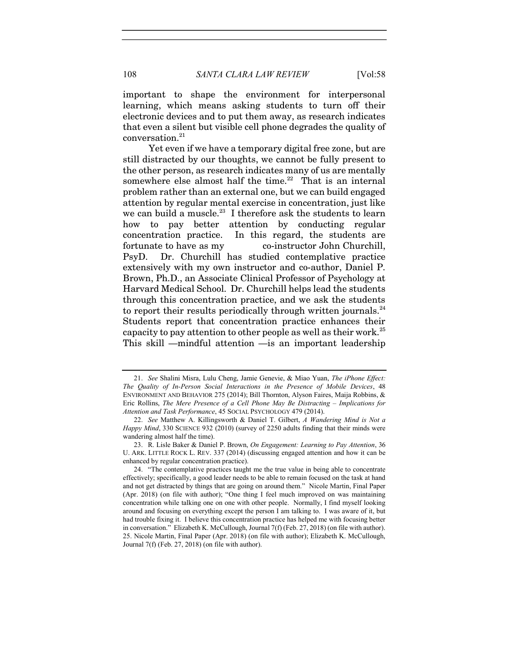important to shape the environment for interpersonal learning, which means asking students to turn off their electronic devices and to put them away, as research indicates that even a silent but visible cell phone degrades the quality of  $\,$  conversation. $^{21}$ 

 Yet even if we have a temporary digital free zone, but are still distracted by our thoughts, we cannot be fully present to the other person, as research indicates many of us are mentally somewhere else almost half the time.<sup>22</sup> That is an internal problem rather than an external one, but we can build engaged attention by regular mental exercise in concentration, just like we can build a muscle.<sup>23</sup> I therefore ask the students to learn how to pay better attention by conducting regular concentration practice. In this regard, the students are fortunate to have as my co-instructor John Churchill, PsyD. Dr. Churchill has studied contemplative practice extensively with my own instructor and co-author, Daniel P. Brown, Ph.D., an Associate Clinical Professor of Psychology at Harvard Medical School. Dr. Churchill helps lead the students through this concentration practice, and we ask the students to report their results periodically through written journals. $^{24}$ Students report that concentration practice enhances their capacity to pay attention to other people as well as their work.<sup>25</sup> This skill —mindful attention —is an important leadership

 <sup>21.</sup> See Shalini Misra, Lulu Cheng, Jamie Genevie, & Miao Yuan, The iPhone Effect: The Quality of In-Person Social Interactions in the Presence of Mobile Devices, 48 ENVIRONMENT AND BEHAVIOR 275 (2014); Bill Thornton, Alyson Faires, Maija Robbins, & Eric Rollins, The Mere Presence of a Cell Phone May Be Distracting – Implications for Attention and Task Performance, 45 SOCIAL PSYCHOLOGY 479 (2014).

<sup>22.</sup> See Matthew A. Killingsworth & Daniel T. Gilbert, A Wandering Mind is Not a Happy Mind, 330 SCIENCE 932 (2010) (survey of 2250 adults finding that their minds were wandering almost half the time).

<sup>23.</sup> R. Lisle Baker & Daniel P. Brown, On Engagement: Learning to Pay Attention, 36 U. ARK. LITTLE ROCK L. REV. 337 (2014) (discussing engaged attention and how it can be enhanced by regular concentration practice).

 <sup>24. &</sup>quot;The contemplative practices taught me the true value in being able to concentrate effectively; specifically, a good leader needs to be able to remain focused on the task at hand and not get distracted by things that are going on around them." Nicole Martin, Final Paper (Apr. 2018) (on file with author); "One thing I feel much improved on was maintaining concentration while talking one on one with other people. Normally, I find myself looking around and focusing on everything except the person I am talking to. I was aware of it, but had trouble fixing it. I believe this concentration practice has helped me with focusing better in conversation." Elizabeth K. McCullough, Journal 7(f) (Feb. 27, 2018) (on file with author). 25. Nicole Martin, Final Paper (Apr. 2018) (on file with author); Elizabeth K. McCullough, Journal 7(f) (Feb. 27, 2018) (on file with author).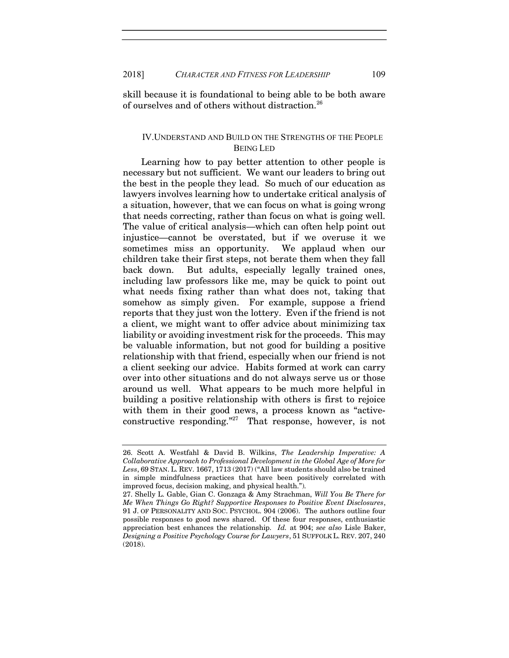skill because it is foundational to being able to be both aware of ourselves and of others without distraction.<sup>26</sup>

### IV.UNDERSTAND AND BUILD ON THE STRENGTHS OF THE PEOPLE BEING LED

Learning how to pay better attention to other people is necessary but not sufficient. We want our leaders to bring out the best in the people they lead. So much of our education as lawyers involves learning how to undertake critical analysis of a situation, however, that we can focus on what is going wrong that needs correcting, rather than focus on what is going well. The value of critical analysis—which can often help point out injustice—cannot be overstated, but if we overuse it we sometimes miss an opportunity. We applaud when our children take their first steps, not berate them when they fall back down. But adults, especially legally trained ones, including law professors like me, may be quick to point out what needs fixing rather than what does not, taking that somehow as simply given. For example, suppose a friend reports that they just won the lottery. Even if the friend is not a client, we might want to offer advice about minimizing tax liability or avoiding investment risk for the proceeds. This may be valuable information, but not good for building a positive relationship with that friend, especially when our friend is not a client seeking our advice. Habits formed at work can carry over into other situations and do not always serve us or those around us well. What appears to be much more helpful in building a positive relationship with others is first to rejoice with them in their good news, a process known as "activeconstructive responding."<sup>27</sup> That response, however, is not

<sup>26.</sup> Scott A. Westfahl & David B. Wilkins, The Leadership Imperative: A Collaborative Approach to Professional Development in the Global Age of More for Less, 69 STAN. L. REV. 1667, 1713 (2017) ("All law students should also be trained in simple mindfulness practices that have been positively correlated with improved focus, decision making, and physical health.").

<sup>27.</sup> Shelly L. Gable, Gian C. Gonzaga & Amy Strachman, Will You Be There for Me When Things Go Right? Supportive Responses to Positive Event Disclosures, 91 J. OF PERSONALITY AND SOC. PSYCHOL. 904 (2006). The authors outline four possible responses to good news shared. Of these four responses, enthusiastic appreciation best enhances the relationship. Id. at 904; see also Lisle Baker, Designing a Positive Psychology Course for Lawyers, 51 SUFFOLK L. REV. 207, 240 (2018).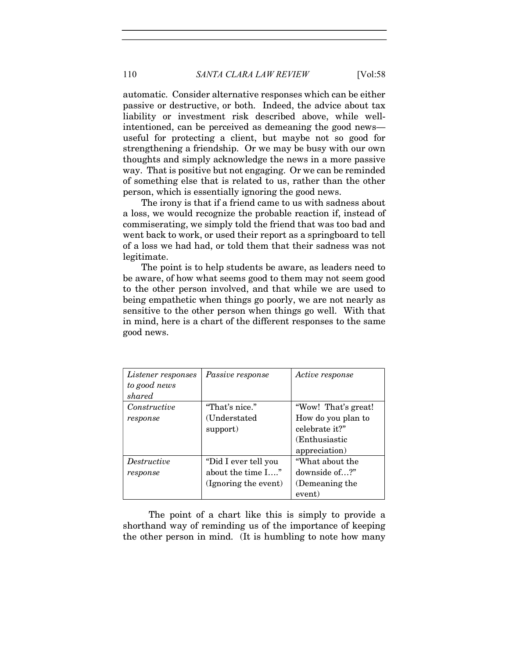automatic. Consider alternative responses which can be either passive or destructive, or both. Indeed, the advice about tax liability or investment risk described above, while wellintentioned, can be perceived as demeaning the good news useful for protecting a client, but maybe not so good for strengthening a friendship. Or we may be busy with our own thoughts and simply acknowledge the news in a more passive way. That is positive but not engaging. Or we can be reminded of something else that is related to us, rather than the other

The irony is that if a friend came to us with sadness about a loss, we would recognize the probable reaction if, instead of commiserating, we simply told the friend that was too bad and went back to work, or used their report as a springboard to tell of a loss we had had, or told them that their sadness was not legitimate.

person, which is essentially ignoring the good news.

The point is to help students be aware, as leaders need to be aware, of how what seems good to them may not seem good to the other person involved, and that while we are used to being empathetic when things go poorly, we are not nearly as sensitive to the other person when things go well. With that in mind, here is a chart of the different responses to the same good news.

| <i>Listener responses</i><br>to good news<br>shared | <i>Passive response</i>                                           | Active response                                                                               |
|-----------------------------------------------------|-------------------------------------------------------------------|-----------------------------------------------------------------------------------------------|
| Constructive<br>response                            | "That's nice."<br>(Understated)<br>support)                       | "Wow! That's great!<br>How do you plan to<br>celebrate it?"<br>(Enthusiastic<br>appreciation) |
| <i>Destructive</i><br>response                      | "Did I ever tell you<br>about the time I"<br>(Ignoring the event) | "What about the<br>downside of?"<br>(Demeaning the<br>event)                                  |

The point of a chart like this is simply to provide a shorthand way of reminding us of the importance of keeping the other person in mind. (It is humbling to note how many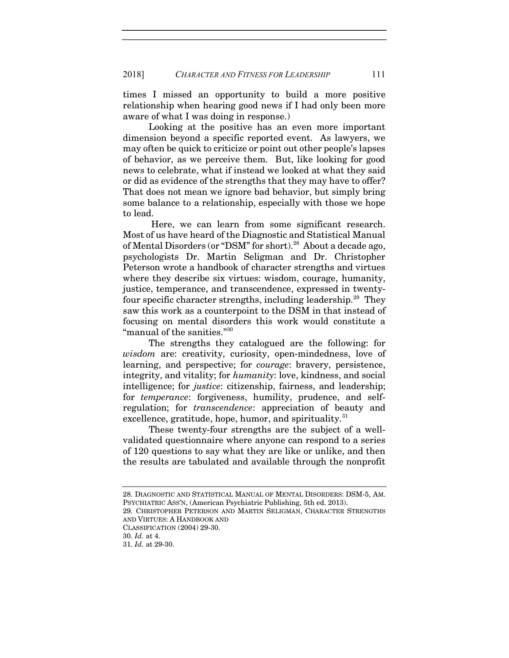times I missed an opportunity to build a more positive relationship when hearing good news if I had only been more aware of what I was doing in response.)

 Looking at the positive has an even more important dimension beyond a specific reported event. As lawyers, we may often be quick to criticize or point out other people's lapses of behavior, as we perceive them. But, like looking for good news to celebrate, what if instead we looked at what they said or did as evidence of the strengths that they may have to offer? That does not mean we ignore bad behavior, but simply bring some balance to a relationship, especially with those we hope to lead.

 Here, we can learn from some significant research. Most of us have heard of the Diagnostic and Statistical Manual of Mental Disorders (or "DSM" for short).<sup>28</sup> About a decade ago, psychologists Dr. Martin Seligman and Dr. Christopher Peterson wrote a handbook of character strengths and virtues where they describe six virtues: wisdom, courage, humanity, justice, temperance, and transcendence, expressed in twentyfour specific character strengths, including leadership.<sup>29</sup> They saw this work as a counterpoint to the DSM in that instead of focusing on mental disorders this work would constitute a "manual of the sanities."<sup>30</sup>

 The strengths they catalogued are the following: for wisdom are: creativity, curiosity, open-mindedness, love of learning, and perspective; for courage: bravery, persistence, integrity, and vitality; for humanity: love, kindness, and social intelligence; for justice: citizenship, fairness, and leadership; for *temperance*: forgiveness, humility, prudence, and selfregulation; for transcendence: appreciation of beauty and excellence, gratitude, hope, humor, and spirituality.<sup>31</sup>

 These twenty-four strengths are the subject of a wellvalidated questionnaire where anyone can respond to a series of 120 questions to say what they are like or unlike, and then the results are tabulated and available through the nonprofit

28. DIAGNOSTIC AND STATISTICAL MANUAL OF MENTAL DISORDERS: DSM-5, AM. PSYCHIATRIC ASS'N, (American Psychiatric Publishing, 5th ed. 2013).

29. CHRISTOPHER PETERSON AND MARTIN SELIGMAN, CHARACTER STRENGTHS AND VIRTUES: A HANDBOOK AND

CLASSIFICATION (2004) 29-30.

<sup>30.</sup> Id. at 4.

<sup>31.</sup> Id. at 29-30.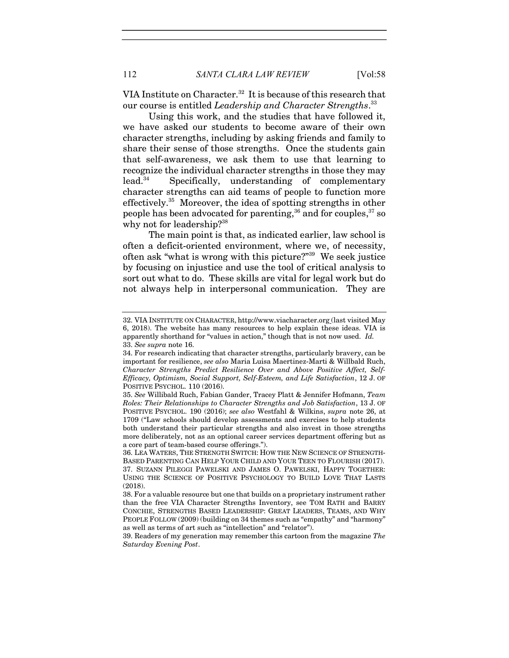VIA Institute on Character.<sup>32</sup> It is because of this research that our course is entitled Leadership and Character Strengths.<sup>33</sup>

 Using this work, and the studies that have followed it, we have asked our students to become aware of their own character strengths, including by asking friends and family to share their sense of those strengths. Once the students gain that self-awareness, we ask them to use that learning to recognize the individual character strengths in those they may lead.<sup>34</sup> Specifically, understanding of complementary character strengths can aid teams of people to function more effectively.<sup>35</sup> Moreover, the idea of spotting strengths in other people has been advocated for parenting,  $36$  and for couples,  $37$  so why not for leadership?<sup>38</sup>

 The main point is that, as indicated earlier, law school is often a deficit-oriented environment, where we, of necessity, often ask "what is wrong with this picture?"<sup>39</sup> We seek justice by focusing on injustice and use the tool of critical analysis to sort out what to do. These skills are vital for legal work but do not always help in interpersonal communication. They are

<sup>32.</sup> VIA INSTITUTE ON CHARACTER, http://www.viacharacter.org (last visited May 6, 2018). The website has many resources to help explain these ideas. VIA is apparently shorthand for "values in action," though that is not now used. Id. 33. See supra note 16.

<sup>34.</sup> For research indicating that character strengths, particularly bravery, can be important for resilience, see also Maria Luisa Maertinez-Marti & Willbald Ruch, Character Strengths Predict Resilience Over and Above Positive Affect, Self-Efficacy, Optimism, Social Support, Self-Esteem, and Life Satisfaction, 12 J. OF POSITIVE PSYCHOL. 110 (2016).

<sup>35.</sup> See Willibald Ruch, Fabian Gander, Tracey Platt & Jennifer Hofmann, Team Roles: Their Relationships to Character Strengths and Job Satisfaction, 13 J. OF POSITIVE PSYCHOL. 190 (2016); see also Westfahl & Wilkins, supra note 26, at 1709 ("Law schools should develop assessments and exercises to help students both understand their particular strengths and also invest in those strengths more deliberately, not as an optional career services department offering but as a core part of team-based course offerings.").

<sup>36.</sup> LEA WATERS, THE STRENGTH SWITCH: HOW THE NEW SCIENCE OF STRENGTH-BASED PARENTING CAN HELP YOUR CHILD AND YOUR TEEN TO FLOURISH (2017). 37. SUZANN PILEGGI PAWELSKI AND JAMES O. PAWELSKI, HAPPY TOGETHER: USING THE SCIENCE OF POSITIVE PSYCHOLOGY TO BUILD LOVE THAT LASTS (2018).

<sup>38.</sup> For a valuable resource but one that builds on a proprietary instrument rather than the free VIA Character Strengths Inventory, see TOM RATH and BARRY CONCHIE, STRENGTHS BASED LEADERSHIP: GREAT LEADERS, TEAMS, AND WHY PEOPLE FOLLOW (2009) (building on 34 themes such as "empathy" and "harmony" as well as terms of art such as "intellection" and "relator").

<sup>39.</sup> Readers of my generation may remember this cartoon from the magazine The Saturday Evening Post.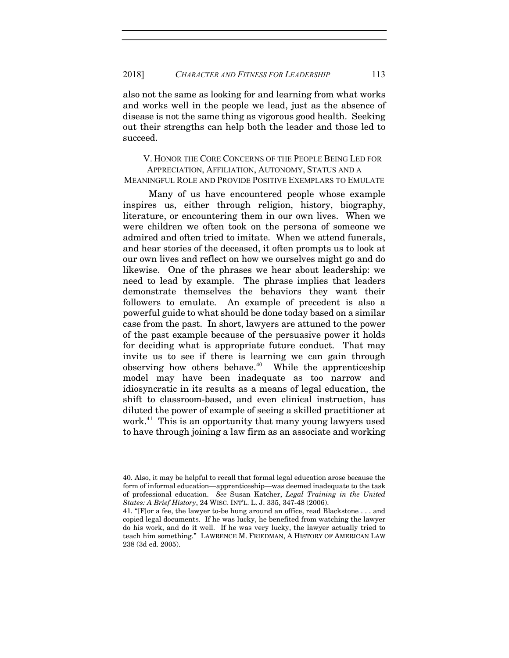also not the same as looking for and learning from what works and works well in the people we lead, just as the absence of disease is not the same thing as vigorous good health. Seeking out their strengths can help both the leader and those led to succeed.

 V. HONOR THE CORE CONCERNS OF THE PEOPLE BEING LED FOR APPRECIATION, AFFILIATION, AUTONOMY, STATUS AND A MEANINGFUL ROLE AND PROVIDE POSITIVE EXEMPLARS TO EMULATE

Many of us have encountered people whose example inspires us, either through religion, history, biography, literature, or encountering them in our own lives. When we were children we often took on the persona of someone we admired and often tried to imitate. When we attend funerals, and hear stories of the deceased, it often prompts us to look at our own lives and reflect on how we ourselves might go and do likewise. One of the phrases we hear about leadership: we need to lead by example. The phrase implies that leaders demonstrate themselves the behaviors they want their followers to emulate. An example of precedent is also a powerful guide to what should be done today based on a similar case from the past. In short, lawyers are attuned to the power of the past example because of the persuasive power it holds for deciding what is appropriate future conduct. That may invite us to see if there is learning we can gain through observing how others behave.<sup>40</sup> While the apprenticeship model may have been inadequate as too narrow and idiosyncratic in its results as a means of legal education, the shift to classroom-based, and even clinical instruction, has diluted the power of example of seeing a skilled practitioner at work.<sup>41</sup> This is an opportunity that many young lawyers used to have through joining a law firm as an associate and working

<sup>40.</sup> Also, it may be helpful to recall that formal legal education arose because the form of informal education—apprenticeship—was deemed inadequate to the task of professional education. See Susan Katcher, Legal Training in the United States: A Brief History, 24 WISC. INT'L. L. J. 335, 347-48 (2006).

<sup>41. &</sup>quot;[F]or a fee, the lawyer to-be hung around an office, read Blackstone . . . and copied legal documents. If he was lucky, he benefited from watching the lawyer do his work, and do it well. If he was very lucky, the lawyer actually tried to teach him something." LAWRENCE M. FRIEDMAN, A HISTORY OF AMERICAN LAW 238 (3d ed. 2005).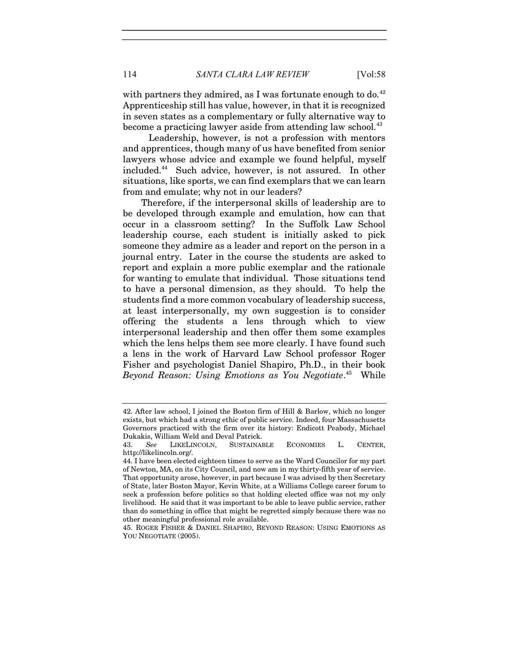114 SANTA CLARA LAW REVIEW [Vol:58]

with partners they admired, as I was fortunate enough to do.<sup>42</sup> Apprenticeship still has value, however, in that it is recognized in seven states as a complementary or fully alternative way to become a practicing lawyer aside from attending law school.<sup>43</sup>

 Leadership, however, is not a profession with mentors and apprentices, though many of us have benefited from senior lawyers whose advice and example we found helpful, myself included.<sup>44</sup> Such advice, however, is not assured. In other situations, like sports, we can find exemplars that we can learn from and emulate; why not in our leaders?

Therefore, if the interpersonal skills of leadership are to be developed through example and emulation, how can that occur in a classroom setting? In the Suffolk Law School leadership course, each student is initially asked to pick someone they admire as a leader and report on the person in a journal entry. Later in the course the students are asked to report and explain a more public exemplar and the rationale for wanting to emulate that individual. Those situations tend to have a personal dimension, as they should. To help the students find a more common vocabulary of leadership success, at least interpersonally, my own suggestion is to consider offering the students a lens through which to view interpersonal leadership and then offer them some examples which the lens helps them see more clearly. I have found such a lens in the work of Harvard Law School professor Roger Fisher and psychologist Daniel Shapiro, Ph.D., in their book Beyond Reason: Using Emotions as You Negotiate.<sup>45</sup> While

<sup>42.</sup> After law school, I joined the Boston firm of Hill & Barlow, which no longer exists, but which had a strong ethic of public service. Indeed, four Massachusetts Governors practiced with the firm over its history: Endicott Peabody, Michael Dukakis, William Weld and Deval Patrick.

<sup>43.</sup> See LIKELINCOLN, SUSTAINABLE ECONOMIES L. CENTER, http://likelincoln.org/.

<sup>44.</sup> I have been elected eighteen times to serve as the Ward Councilor for my part of Newton, MA, on its City Council, and now am in my thirty-fifth year of service. That opportunity arose, however, in part because I was advised by then Secretary of State, later Boston Mayor, Kevin White, at a Williams College career forum to seek a profession before politics so that holding elected office was not my only livelihood. He said that it was important to be able to leave public service, rather than do something in office that might be regretted simply because there was no other meaningful professional role available.

<sup>45.</sup> ROGER FISHER & DANIEL SHAPIRO, BEYOND REASON: USING EMOTIONS AS YOU NEGOTIATE (2005).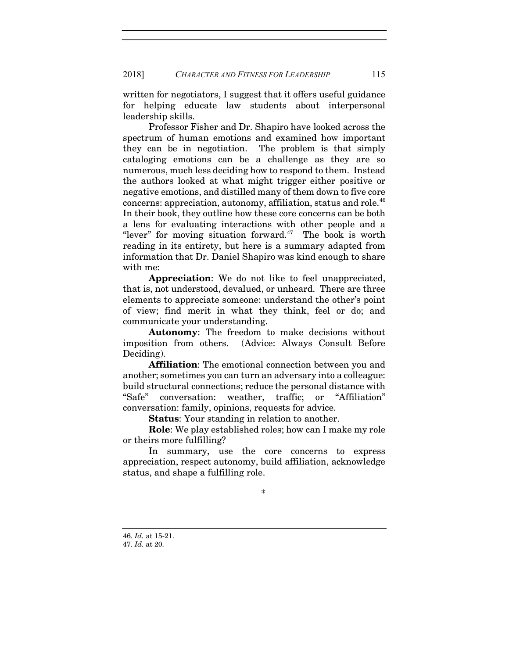written for negotiators, I suggest that it offers useful guidance for helping educate law students about interpersonal leadership skills.

 Professor Fisher and Dr. Shapiro have looked across the spectrum of human emotions and examined how important they can be in negotiation. The problem is that simply cataloging emotions can be a challenge as they are so numerous, much less deciding how to respond to them. Instead the authors looked at what might trigger either positive or negative emotions, and distilled many of them down to five core concerns: appreciation, autonomy, affiliation, status and role.<sup>46</sup> In their book, they outline how these core concerns can be both a lens for evaluating interactions with other people and a "lever" for moving situation forward. $47$  The book is worth reading in its entirety, but here is a summary adapted from information that Dr. Daniel Shapiro was kind enough to share with me:

Appreciation: We do not like to feel unappreciated, that is, not understood, devalued, or unheard. There are three elements to appreciate someone: understand the other's point of view; find merit in what they think, feel or do; and communicate your understanding.

Autonomy: The freedom to make decisions without imposition from others. (Advice: Always Consult Before Deciding).

Affiliation: The emotional connection between you and another; sometimes you can turn an adversary into a colleague: build structural connections; reduce the personal distance with "Safe" conversation: weather, traffic; or "Affiliation" conversation: family, opinions, requests for advice.

Status: Your standing in relation to another.

Role: We play established roles; how can I make my role or theirs more fulfilling?

 In summary, use the core concerns to express appreciation, respect autonomy, build affiliation, acknowledge status, and shape a fulfilling role.

\*

<sup>46.</sup> Id. at 15-21.

<sup>47.</sup> Id. at 20.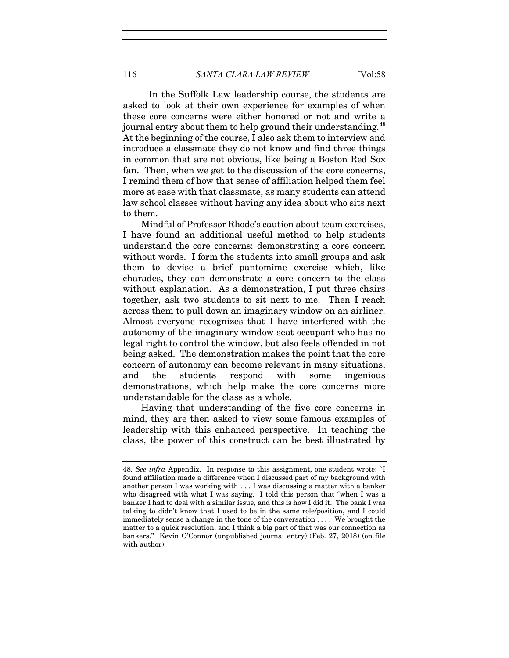In the Suffolk Law leadership course, the students are asked to look at their own experience for examples of when these core concerns were either honored or not and write a journal entry about them to help ground their understanding.<sup>48</sup> At the beginning of the course, I also ask them to interview and introduce a classmate they do not know and find three things in common that are not obvious, like being a Boston Red Sox fan. Then, when we get to the discussion of the core concerns, I remind them of how that sense of affiliation helped them feel more at ease with that classmate, as many students can attend law school classes without having any idea about who sits next to them.

Mindful of Professor Rhode's caution about team exercises, I have found an additional useful method to help students understand the core concerns: demonstrating a core concern without words. I form the students into small groups and ask them to devise a brief pantomime exercise which, like charades, they can demonstrate a core concern to the class without explanation. As a demonstration, I put three chairs together, ask two students to sit next to me. Then I reach across them to pull down an imaginary window on an airliner. Almost everyone recognizes that I have interfered with the autonomy of the imaginary window seat occupant who has no legal right to control the window, but also feels offended in not being asked. The demonstration makes the point that the core concern of autonomy can become relevant in many situations, and the students respond with some ingenious demonstrations, which help make the core concerns more understandable for the class as a whole.

Having that understanding of the five core concerns in mind, they are then asked to view some famous examples of leadership with this enhanced perspective. In teaching the class, the power of this construct can be best illustrated by

<sup>48.</sup> See infra Appendix. In response to this assignment, one student wrote: "I found affiliation made a difference when I discussed part of my background with another person I was working with . . . I was discussing a matter with a banker who disagreed with what I was saying. I told this person that "when I was a banker I had to deal with a similar issue, and this is how I did it. The bank I was talking to didn't know that I used to be in the same role/position, and I could immediately sense a change in the tone of the conversation . . . . We brought the matter to a quick resolution, and I think a big part of that was our connection as bankers." Kevin O'Connor (unpublished journal entry) (Feb. 27, 2018) (on file with author).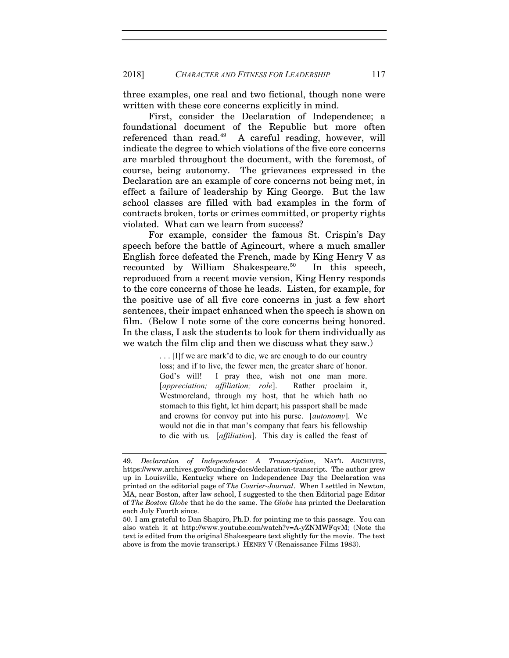three examples, one real and two fictional, though none were written with these core concerns explicitly in mind.

 First, consider the Declaration of Independence; a foundational document of the Republic but more often referenced than read.<sup>49</sup> A careful reading, however, will indicate the degree to which violations of the five core concerns are marbled throughout the document, with the foremost, of course, being autonomy. The grievances expressed in the Declaration are an example of core concerns not being met, in effect a failure of leadership by King George. But the law school classes are filled with bad examples in the form of contracts broken, torts or crimes committed, or property rights violated. What can we learn from success?

 For example, consider the famous St. Crispin's Day speech before the battle of Agincourt, where a much smaller English force defeated the French, made by King Henry V as recounted by William Shakespeare.<sup>50</sup> In this speech, reproduced from a recent movie version, King Henry responds to the core concerns of those he leads. Listen, for example, for the positive use of all five core concerns in just a few short sentences, their impact enhanced when the speech is shown on film. (Below I note some of the core concerns being honored. In the class, I ask the students to look for them individually as we watch the film clip and then we discuss what they saw.)

> . . . [I]f we are mark'd to die, we are enough to do our country loss; and if to live, the fewer men, the greater share of honor. God's will! I pray thee, wish not one man more. [appreciation; affiliation; role]. Rather proclaim it, Westmoreland, through my host, that he which hath no stomach to this fight, let him depart; his passport shall be made and crowns for convoy put into his purse. [autonomy]. We would not die in that man's company that fears his fellowship to die with us. [affiliation]. This day is called the feast of

<sup>49.</sup> Declaration of Independence: A Transcription, NAT'L ARCHIVES, https://www.archives.gov/founding-docs/declaration-transcript. The author grew up in Louisville, Kentucky where on Independence Day the Declaration was printed on the editorial page of The Courier-Journal. When I settled in Newton, MA, near Boston, after law school, I suggested to the then Editorial page Editor of The Boston Globe that he do the same. The Globe has printed the Declaration each July Fourth since.

<sup>50.</sup> I am grateful to Dan Shapiro, Ph.D. for pointing me to this passage. You can also watch it at http://www.youtube.com/watch?v=A-yZNMWFqvM; (Note the text is edited from the original Shakespeare text slightly for the movie. The text above is from the movie transcript.) HENRY V (Renaissance Films 1983).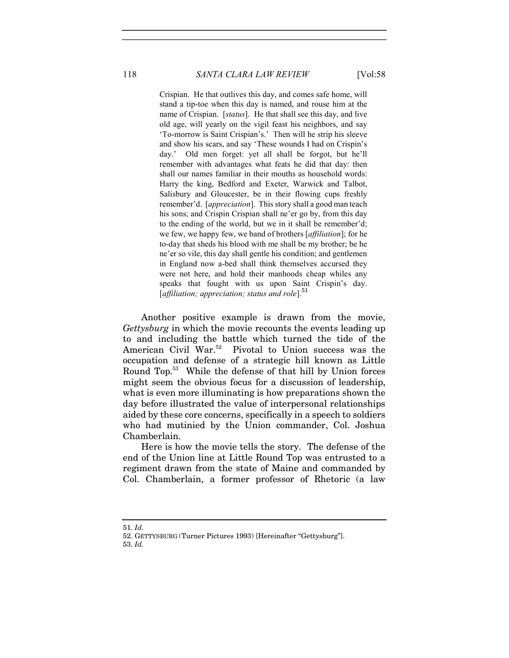118 SANTA CLARA LAW REVIEW [Vol:58]

Crispian. He that outlives this day, and comes safe home, will stand a tip-toe when this day is named, and rouse him at the name of Crispian. [status]. He that shall see this day, and live old age, will yearly on the vigil feast his neighbors, and say 'To-morrow is Saint Crispian's.' Then will he strip his sleeve and show his scars, and say 'These wounds I had on Crispin's day.' Old men forget: yet all shall be forgot, but he'll remember with advantages what feats he did that day: then shall our names familiar in their mouths as household words: Harry the king, Bedford and Exeter, Warwick and Talbot, Salisbury and Gloucester, be in their flowing cups freshly remember'd. [*appreciation*]. This story shall a good man teach his sons; and Crispin Crispian shall ne'er go by, from this day to the ending of the world, but we in it shall be remember'd; we few, we happy few, we band of brothers [*affiliation*]; for he to-day that sheds his blood with me shall be my brother; be he ne'er so vile, this day shall gentle his condition; and gentlemen in England now a-bed shall think themselves accursed they were not here, and hold their manhoods cheap whiles any speaks that fought with us upon Saint Crispin's day. [affiliation; appreciation; status and role]. $51$ 

Another positive example is drawn from the movie, Gettysburg in which the movie recounts the events leading up to and including the battle which turned the tide of the American Civil War.<sup>52</sup> Pivotal to Union success was the occupation and defense of a strategic hill known as Little Round Top.<sup>53</sup> While the defense of that hill by Union forces might seem the obvious focus for a discussion of leadership, what is even more illuminating is how preparations shown the day before illustrated the value of interpersonal relationships aided by these core concerns, specifically in a speech to soldiers who had mutinied by the Union commander, Col. Joshua Chamberlain.

Here is how the movie tells the story. The defense of the end of the Union line at Little Round Top was entrusted to a regiment drawn from the state of Maine and commanded by Col. Chamberlain, a former professor of Rhetoric (a law

<sup>51.</sup> Id.

<sup>52.</sup> GETTYSBURG (Turner Pictures 1993) [Hereinafter "Gettysburg"].

<sup>53.</sup> Id.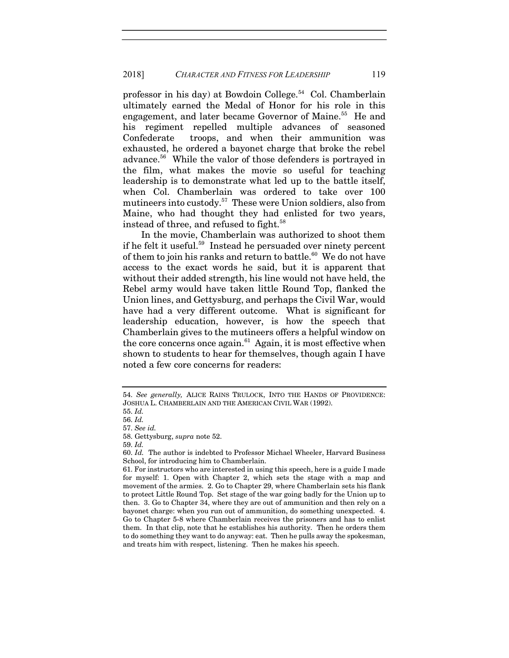professor in his day) at Bowdoin College.<sup>54</sup> Col. Chamberlain ultimately earned the Medal of Honor for his role in this engagement, and later became Governor of Maine.<sup>55</sup> He and his regiment repelled multiple advances of seasoned Confederate troops, and when their ammunition was exhausted, he ordered a bayonet charge that broke the rebel advance.<sup>56</sup> While the valor of those defenders is portrayed in the film, what makes the movie so useful for teaching leadership is to demonstrate what led up to the battle itself, when Col. Chamberlain was ordered to take over 100 mutineers into custody.<sup>57</sup> These were Union soldiers, also from Maine, who had thought they had enlisted for two years, instead of three, and refused to fight.<sup>58</sup>

In the movie, Chamberlain was authorized to shoot them if he felt it useful.<sup>59</sup> Instead he persuaded over ninety percent of them to join his ranks and return to battle.<sup>60</sup> We do not have access to the exact words he said, but it is apparent that without their added strength, his line would not have held, the Rebel army would have taken little Round Top, flanked the Union lines, and Gettysburg, and perhaps the Civil War, would have had a very different outcome. What is significant for leadership education, however, is how the speech that Chamberlain gives to the mutineers offers a helpful window on the core concerns once again.<sup>61</sup> Again, it is most effective when shown to students to hear for themselves, though again I have noted a few core concerns for readers:

58. Gettysburg, supra note 52.

<sup>54.</sup> See generally, ALICE RAINS TRULOCK, INTO THE HANDS OF PROVIDENCE: JOSHUA L. CHAMBERLAIN AND THE AMERICAN CIVIL WAR (1992).

<sup>55.</sup> Id.

<sup>56.</sup> Id.

<sup>57.</sup> See id.

<sup>59.</sup> Id.

<sup>60.</sup> Id. The author is indebted to Professor Michael Wheeler, Harvard Business School, for introducing him to Chamberlain.

<sup>61.</sup> For instructors who are interested in using this speech, here is a guide I made for myself: 1. Open with Chapter 2, which sets the stage with a map and movement of the armies. 2. Go to Chapter 29, where Chamberlain sets his flank to protect Little Round Top. Set stage of the war going badly for the Union up to then. 3. Go to Chapter 34, where they are out of ammunition and then rely on a bayonet charge: when you run out of ammunition, do something unexpected. 4. Go to Chapter 5-8 where Chamberlain receives the prisoners and has to enlist them. In that clip, note that he establishes his authority. Then he orders them to do something they want to do anyway: eat. Then he pulls away the spokesman, and treats him with respect, listening. Then he makes his speech.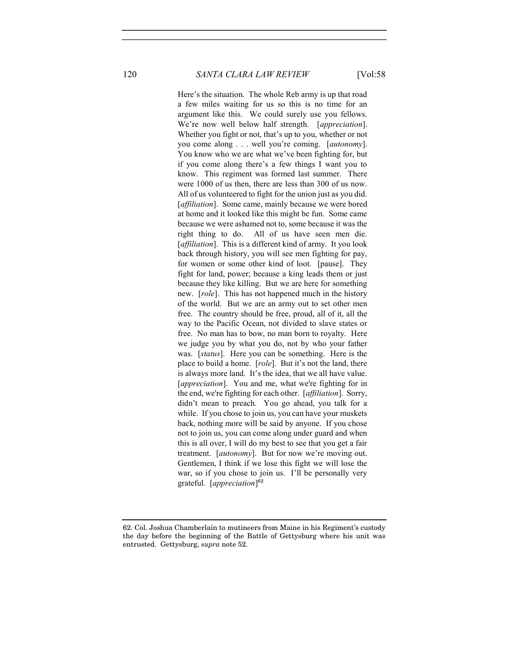120 SANTA CLARA LAW REVIEW [Vol:58]

Here's the situation. The whole Reb army is up that road a few miles waiting for us so this is no time for an argument like this. We could surely use you fellows. We're now well below half strength. [appreciation]. Whether you fight or not, that's up to you, whether or not you come along . . . well you're coming. [autonomy]. You know who we are what we've been fighting for, but if you come along there's a few things I want you to know. This regiment was formed last summer. There were 1000 of us then, there are less than 300 of us now. All of us volunteered to fight for the union just as you did. [affiliation]. Some came, mainly because we were bored at home and it looked like this might be fun. Some came because we were ashamed not to, some because it was the right thing to do. All of us have seen men die. [affiliation]. This is a different kind of army. It you look back through history, you will see men fighting for pay, for women or some other kind of loot. [pause]. They fight for land, power; because a king leads them or just because they like killing. But we are here for something new. [role]. This has not happened much in the history of the world. But we are an army out to set other men free. The country should be free, proud, all of it, all the way to the Pacific Ocean, not divided to slave states or free. No man has to bow, no man born to royalty. Here we judge you by what you do, not by who your father was. [status]. Here you can be something. Here is the place to build a home. [*role*]. But it's not the land, there is always more land. It's the idea, that we all have value. [appreciation]. You and me, what we're fighting for in the end, we're fighting for each other. [affiliation]. Sorry, didn't mean to preach. You go ahead, you talk for a while. If you chose to join us, you can have your muskets back, nothing more will be said by anyone. If you chose not to join us, you can come along under guard and when this is all over, I will do my best to see that you get a fair treatment. [autonomy]. But for now we're moving out. Gentlemen, I think if we lose this fight we will lose the war, so if you chose to join us. I'll be personally very grateful. [appreciation]<sup>62</sup>

<sup>62.</sup> Col. Joshua Chamberlain to mutineers from Maine in his Regiment's custody the day before the beginning of the Battle of Gettysburg where his unit was entrusted. Gettysburg, supra note 52.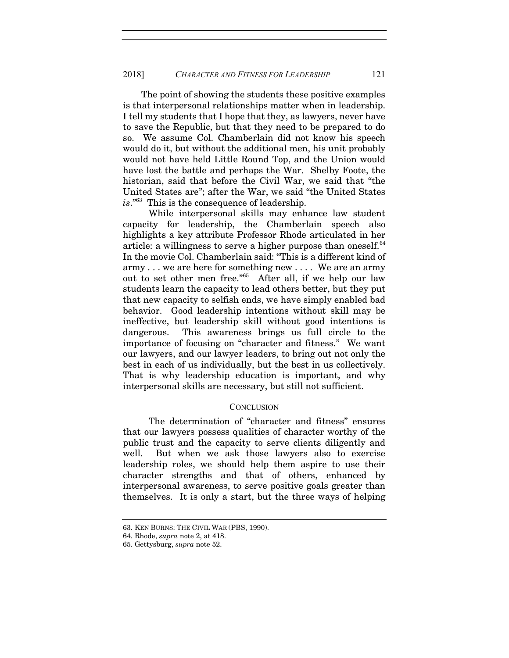The point of showing the students these positive examples is that interpersonal relationships matter when in leadership. I tell my students that I hope that they, as lawyers, never have to save the Republic, but that they need to be prepared to do so. We assume Col. Chamberlain did not know his speech would do it, but without the additional men, his unit probably would not have held Little Round Top, and the Union would have lost the battle and perhaps the War. Shelby Foote, the historian, said that before the Civil War, we said that "the United States are"; after the War, we said "the United States is."<sup>63</sup> This is the consequence of leadership.

 While interpersonal skills may enhance law student capacity for leadership, the Chamberlain speech also highlights a key attribute Professor Rhode articulated in her article: a willingness to serve a higher purpose than oneself.<sup>64</sup> In the movie Col. Chamberlain said: "This is a different kind of army . . . we are here for something new . . . . We are an army out to set other men free."<sup>65</sup> After all, if we help our law students learn the capacity to lead others better, but they put that new capacity to selfish ends, we have simply enabled bad behavior. Good leadership intentions without skill may be ineffective, but leadership skill without good intentions is dangerous. This awareness brings us full circle to the importance of focusing on "character and fitness." We want our lawyers, and our lawyer leaders, to bring out not only the best in each of us individually, but the best in us collectively. That is why leadership education is important, and why interpersonal skills are necessary, but still not sufficient.

### **CONCLUSION**

 The determination of "character and fitness" ensures that our lawyers possess qualities of character worthy of the public trust and the capacity to serve clients diligently and well. But when we ask those lawyers also to exercise leadership roles, we should help them aspire to use their character strengths and that of others, enhanced by interpersonal awareness, to serve positive goals greater than themselves. It is only a start, but the three ways of helping

<sup>63.</sup> KEN BURNS: THE CIVIL WAR (PBS, 1990).

<sup>64.</sup> Rhode, supra note 2, at 418.

<sup>65.</sup> Gettysburg, supra note 52.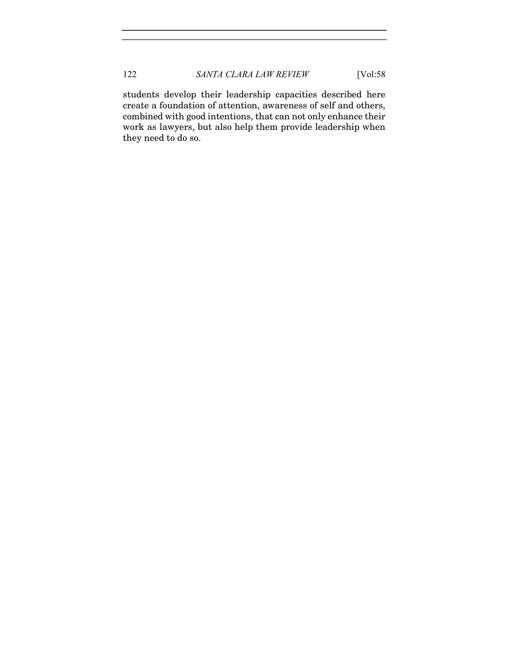students develop their leadership capacities described here create a foundation of attention, awareness of self and others, combined with good intentions, that can not only enhance their work as lawyers, but also help them provide leadership when they need to do so.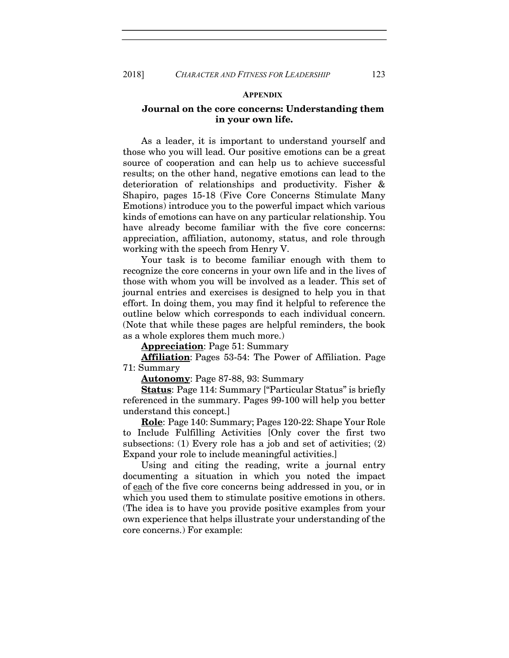#### **APPENDIX**

### Journal on the core concerns: Understanding them in your own life.

As a leader, it is important to understand yourself and those who you will lead. Our positive emotions can be a great source of cooperation and can help us to achieve successful results; on the other hand, negative emotions can lead to the deterioration of relationships and productivity. Fisher & Shapiro, pages 15-18 (Five Core Concerns Stimulate Many Emotions) introduce you to the powerful impact which various kinds of emotions can have on any particular relationship. You have already become familiar with the five core concerns: appreciation, affiliation, autonomy, status, and role through working with the speech from Henry V.

Your task is to become familiar enough with them to recognize the core concerns in your own life and in the lives of those with whom you will be involved as a leader. This set of journal entries and exercises is designed to help you in that effort. In doing them, you may find it helpful to reference the outline below which corresponds to each individual concern. (Note that while these pages are helpful reminders, the book as a whole explores them much more.)

Appreciation: Page 51: Summary

Affiliation: Pages 53-54: The Power of Affiliation. Page 71: Summary

Autonomy: Page 87-88, 93: Summary

Status: Page 114: Summary ["Particular Status" is briefly referenced in the summary. Pages 99-100 will help you better understand this concept.]

Role: Page 140: Summary; Pages 120-22: Shape Your Role to Include Fulfilling Activities [Only cover the first two subsections: (1) Every role has a job and set of activities; (2) Expand your role to include meaningful activities.]

Using and citing the reading, write a journal entry documenting a situation in which you noted the impact of each of the five core concerns being addressed in you, or in which you used them to stimulate positive emotions in others. (The idea is to have you provide positive examples from your own experience that helps illustrate your understanding of the core concerns.) For example: